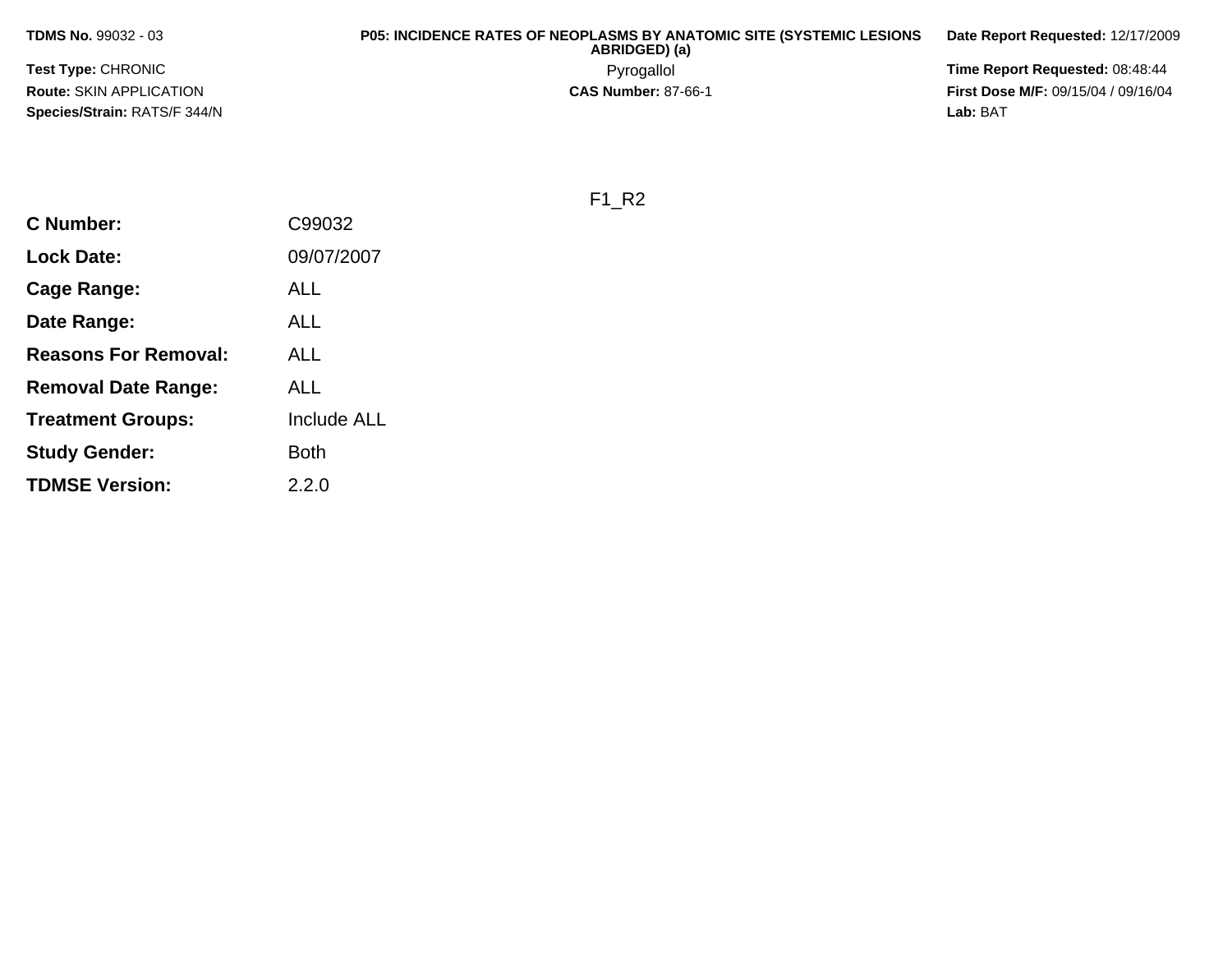**TDMS No.** 99032 - 03

**Test Type:** CHRONIC**Route:** SKIN APPLICATION**Species/Strain:** RATS/F 344/N**Lab:** BAT

## **P05: INCIDENCE RATES OF NEOPLASMS BY ANATOMIC SITE (SYSTEMIC LESIONS ABRIDGED) (a)**

Pyrogallol Pyrogallol **Pyrogallol Time Report Requested:** 08:48:44<br>**CAS Number:** 87-66-1 **Time Report Requested:** 09/15/04 / 09/16/04 **First Dose M/F:** 09/15/04 / 09/16/04 Lab: BAT

**Date Report Requested:** 12/17/2009

F1\_R2

| C Number:                   | C99032      |
|-----------------------------|-------------|
| Lock Date:                  | 09/07/2007  |
| Cage Range:                 | ALL         |
| Date Range:                 | ALL         |
| <b>Reasons For Removal:</b> | ALL         |
| <b>Removal Date Range:</b>  | ALL         |
| <b>Treatment Groups:</b>    | Include ALL |
| <b>Study Gender:</b>        | Both        |
| <b>TDMSE Version:</b>       | 2.2.0       |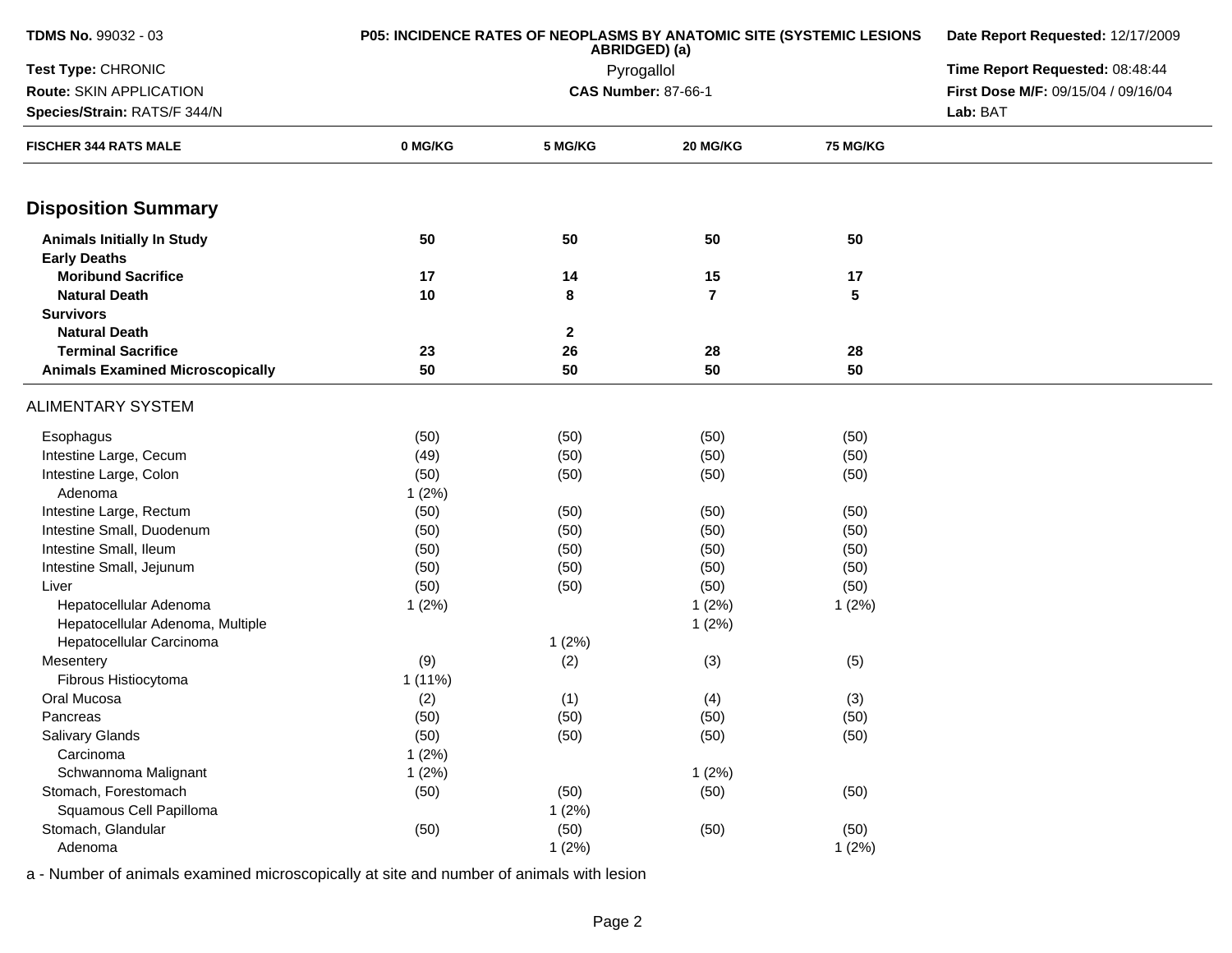| <b>TDMS No. 99032 - 03</b>              | <b>P05: INCIDENCE RATES OF NEOPLASMS BY ANATOMIC SITE (SYSTEMIC LESIONS</b> | Date Report Requested: 12/17/2009<br>Time Report Requested: 08:48:44 |                            |                 |                                     |  |  |
|-----------------------------------------|-----------------------------------------------------------------------------|----------------------------------------------------------------------|----------------------------|-----------------|-------------------------------------|--|--|
| Test Type: CHRONIC                      |                                                                             |                                                                      |                            |                 |                                     |  |  |
| Route: SKIN APPLICATION                 |                                                                             |                                                                      | <b>CAS Number: 87-66-1</b> |                 | First Dose M/F: 09/15/04 / 09/16/04 |  |  |
| Species/Strain: RATS/F 344/N            |                                                                             |                                                                      |                            |                 |                                     |  |  |
| <b>FISCHER 344 RATS MALE</b>            | 0 MG/KG                                                                     | 5 MG/KG                                                              | 20 MG/KG                   | <b>75 MG/KG</b> |                                     |  |  |
| <b>Disposition Summary</b>              |                                                                             |                                                                      |                            |                 |                                     |  |  |
| <b>Animals Initially In Study</b>       | 50                                                                          | 50                                                                   | 50                         | 50              |                                     |  |  |
| <b>Early Deaths</b>                     |                                                                             |                                                                      |                            |                 |                                     |  |  |
| <b>Moribund Sacrifice</b>               | 17                                                                          | 14                                                                   | 15                         | 17              |                                     |  |  |
| <b>Natural Death</b>                    | 10                                                                          | 8                                                                    | $\overline{7}$             | 5               |                                     |  |  |
| <b>Survivors</b>                        |                                                                             |                                                                      |                            |                 |                                     |  |  |
| <b>Natural Death</b>                    |                                                                             | $\mathbf{2}$                                                         |                            |                 |                                     |  |  |
| <b>Terminal Sacrifice</b>               | 23                                                                          | 26                                                                   | 28                         | 28              |                                     |  |  |
| <b>Animals Examined Microscopically</b> | 50                                                                          | 50                                                                   | 50                         | 50              |                                     |  |  |
| <b>ALIMENTARY SYSTEM</b>                |                                                                             |                                                                      |                            |                 |                                     |  |  |
| Esophagus                               | (50)                                                                        | (50)                                                                 | (50)                       | (50)            |                                     |  |  |
| Intestine Large, Cecum                  | (49)                                                                        | (50)                                                                 | (50)                       | (50)            |                                     |  |  |
| Intestine Large, Colon                  | (50)                                                                        | (50)                                                                 | (50)                       | (50)            |                                     |  |  |
| Adenoma                                 | 1(2%)                                                                       |                                                                      |                            |                 |                                     |  |  |
| Intestine Large, Rectum                 | (50)                                                                        | (50)                                                                 | (50)                       | (50)            |                                     |  |  |
| Intestine Small, Duodenum               | (50)                                                                        | (50)                                                                 | (50)                       | (50)            |                                     |  |  |
| Intestine Small, Ileum                  | (50)                                                                        | (50)                                                                 | (50)                       | (50)            |                                     |  |  |
| Intestine Small, Jejunum                | (50)                                                                        | (50)                                                                 | (50)                       | (50)            |                                     |  |  |
| Liver                                   | (50)                                                                        | (50)                                                                 | (50)                       | (50)            |                                     |  |  |
| Hepatocellular Adenoma                  | 1(2%)                                                                       |                                                                      | 1(2%)                      | 1(2%)           |                                     |  |  |
| Hepatocellular Adenoma, Multiple        |                                                                             |                                                                      | 1(2%)                      |                 |                                     |  |  |
| Hepatocellular Carcinoma                |                                                                             | 1(2%)                                                                |                            |                 |                                     |  |  |
| Mesentery                               | (9)                                                                         | (2)                                                                  | (3)                        | (5)             |                                     |  |  |
| Fibrous Histiocytoma                    | 1(11%)                                                                      |                                                                      |                            |                 |                                     |  |  |
| Oral Mucosa                             | (2)                                                                         | (1)                                                                  | (4)                        | (3)             |                                     |  |  |
| Pancreas                                | (50)                                                                        | (50)                                                                 | (50)                       | (50)            |                                     |  |  |
| Salivary Glands                         | (50)                                                                        | (50)                                                                 | (50)                       | (50)            |                                     |  |  |
| Carcinoma                               | 1(2%)                                                                       |                                                                      |                            |                 |                                     |  |  |
| Schwannoma Malignant                    | 1(2%)                                                                       |                                                                      | 1(2%)                      |                 |                                     |  |  |
| Stomach, Forestomach                    | (50)                                                                        | (50)                                                                 | (50)                       | (50)            |                                     |  |  |
| Squamous Cell Papilloma                 |                                                                             | 1(2%)                                                                |                            |                 |                                     |  |  |
| Stomach, Glandular                      | (50)                                                                        | (50)                                                                 | (50)                       | (50)            |                                     |  |  |
| Adenoma                                 |                                                                             | 1(2%)                                                                |                            | 1(2%)           |                                     |  |  |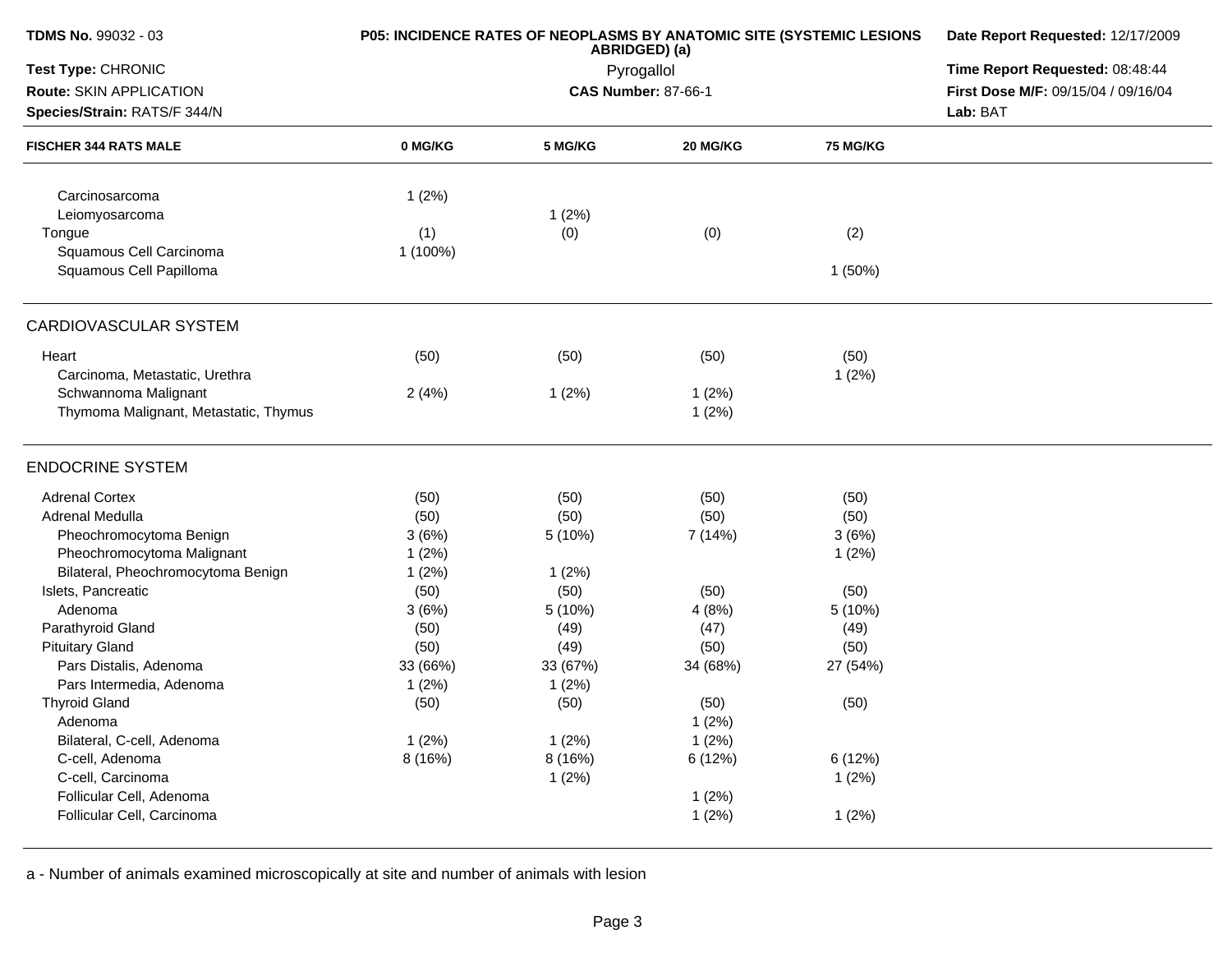| <b>TDMS No. 99032 - 03</b>            | P05: INCIDENCE RATES OF NEOPLASMS BY ANATOMIC SITE (SYSTEMIC LESIONS | Date Report Requested: 12/17/2009 |          |                 |                                     |
|---------------------------------------|----------------------------------------------------------------------|-----------------------------------|----------|-----------------|-------------------------------------|
| Test Type: CHRONIC                    |                                                                      | Time Report Requested: 08:48:44   |          |                 |                                     |
| Route: SKIN APPLICATION               |                                                                      | <b>CAS Number: 87-66-1</b>        |          |                 | First Dose M/F: 09/15/04 / 09/16/04 |
| Species/Strain: RATS/F 344/N          |                                                                      |                                   |          |                 | Lab: BAT                            |
| <b>FISCHER 344 RATS MALE</b>          | 0 MG/KG                                                              | 5 MG/KG                           | 20 MG/KG | <b>75 MG/KG</b> |                                     |
| Carcinosarcoma                        | 1(2%)                                                                |                                   |          |                 |                                     |
| Leiomyosarcoma                        |                                                                      | 1(2%)                             |          |                 |                                     |
| Tongue                                | (1)                                                                  | (0)                               | (0)      | (2)             |                                     |
| Squamous Cell Carcinoma               | 1 (100%)                                                             |                                   |          |                 |                                     |
| Squamous Cell Papilloma               |                                                                      |                                   |          | 1(50%)          |                                     |
| CARDIOVASCULAR SYSTEM                 |                                                                      |                                   |          |                 |                                     |
| Heart                                 | (50)                                                                 | (50)                              | (50)     | (50)            |                                     |
| Carcinoma, Metastatic, Urethra        |                                                                      |                                   |          | 1(2%)           |                                     |
| Schwannoma Malignant                  | 2(4%)                                                                | 1(2%)                             | 1(2%)    |                 |                                     |
| Thymoma Malignant, Metastatic, Thymus |                                                                      |                                   | 1(2%)    |                 |                                     |
| <b>ENDOCRINE SYSTEM</b>               |                                                                      |                                   |          |                 |                                     |
| <b>Adrenal Cortex</b>                 | (50)                                                                 | (50)                              | (50)     | (50)            |                                     |
| Adrenal Medulla                       | (50)                                                                 | (50)                              | (50)     | (50)            |                                     |
| Pheochromocytoma Benign               | 3(6%)                                                                | 5 (10%)                           | 7 (14%)  | 3(6%)           |                                     |
| Pheochromocytoma Malignant            | 1(2%)                                                                |                                   |          | 1(2%)           |                                     |
| Bilateral, Pheochromocytoma Benign    | 1(2%)                                                                | 1(2%)                             |          |                 |                                     |
| Islets, Pancreatic                    | (50)                                                                 | (50)                              | (50)     | (50)            |                                     |
| Adenoma                               | 3(6%)                                                                | 5 (10%)                           | 4(8%)    | 5(10%)          |                                     |
| Parathyroid Gland                     | (50)                                                                 | (49)                              | (47)     | (49)            |                                     |
| <b>Pituitary Gland</b>                | (50)                                                                 | (49)                              | (50)     | (50)            |                                     |
| Pars Distalis, Adenoma                | 33 (66%)                                                             | 33 (67%)                          | 34 (68%) | 27 (54%)        |                                     |
| Pars Intermedia, Adenoma              | 1(2%)                                                                | 1(2%)                             |          |                 |                                     |
| <b>Thyroid Gland</b>                  | (50)                                                                 | (50)                              | (50)     | (50)            |                                     |
| Adenoma                               |                                                                      |                                   | 1(2%)    |                 |                                     |
| Bilateral, C-cell, Adenoma            | 1(2%)                                                                | 1(2%)                             | 1(2%)    |                 |                                     |
| C-cell, Adenoma                       | 8 (16%)                                                              | 8 (16%)                           | 6 (12%)  | 6(12%)          |                                     |
| C-cell, Carcinoma                     |                                                                      | 1(2%)                             |          | 1(2%)           |                                     |
| Follicular Cell, Adenoma              |                                                                      |                                   | 1(2%)    |                 |                                     |
| Follicular Cell, Carcinoma            |                                                                      |                                   | 1(2%)    | 1(2%)           |                                     |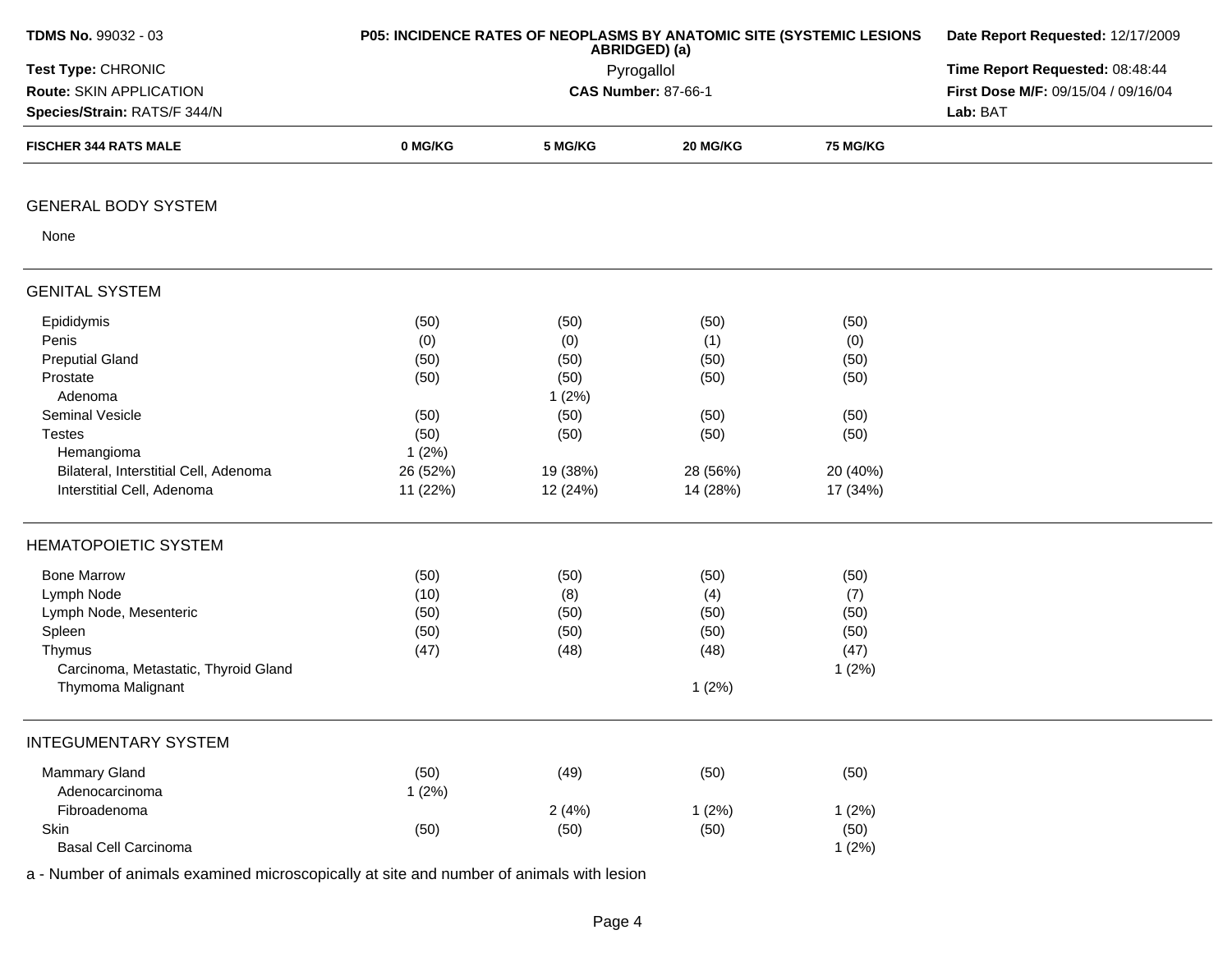| TDMS No. 99032 - 03                   | P05: INCIDENCE RATES OF NEOPLASMS BY ANATOMIC SITE (SYSTEMIC LESIONS | Date Report Requested: 12/17/2009<br>Time Report Requested: 08:48:44 |                            |                 |                                     |
|---------------------------------------|----------------------------------------------------------------------|----------------------------------------------------------------------|----------------------------|-----------------|-------------------------------------|
| Test Type: CHRONIC                    |                                                                      |                                                                      |                            |                 |                                     |
| Route: SKIN APPLICATION               |                                                                      |                                                                      | <b>CAS Number: 87-66-1</b> |                 | First Dose M/F: 09/15/04 / 09/16/04 |
| Species/Strain: RATS/F 344/N          |                                                                      |                                                                      |                            |                 | Lab: BAT                            |
| <b>FISCHER 344 RATS MALE</b>          | 0 MG/KG                                                              | 5 MG/KG                                                              | 20 MG/KG                   | <b>75 MG/KG</b> |                                     |
| <b>GENERAL BODY SYSTEM</b>            |                                                                      |                                                                      |                            |                 |                                     |
| None                                  |                                                                      |                                                                      |                            |                 |                                     |
| <b>GENITAL SYSTEM</b>                 |                                                                      |                                                                      |                            |                 |                                     |
| Epididymis                            | (50)                                                                 | (50)                                                                 | (50)                       | (50)            |                                     |
| Penis                                 | (0)                                                                  | (0)                                                                  | (1)                        | (0)             |                                     |
| <b>Preputial Gland</b>                | (50)                                                                 | (50)                                                                 | (50)                       | (50)            |                                     |
| Prostate                              | (50)                                                                 | (50)                                                                 | (50)                       | (50)            |                                     |
| Adenoma                               |                                                                      | 1(2%)                                                                |                            |                 |                                     |
| Seminal Vesicle                       | (50)                                                                 | (50)                                                                 | (50)                       | (50)            |                                     |
| <b>Testes</b>                         | (50)                                                                 | (50)                                                                 | (50)                       | (50)            |                                     |
| Hemangioma                            | 1(2%)                                                                |                                                                      |                            |                 |                                     |
| Bilateral, Interstitial Cell, Adenoma | 26 (52%)                                                             | 19 (38%)                                                             | 28 (56%)                   | 20 (40%)        |                                     |
| Interstitial Cell, Adenoma            | 11 (22%)                                                             | 12 (24%)                                                             | 14 (28%)                   | 17 (34%)        |                                     |
| <b>HEMATOPOIETIC SYSTEM</b>           |                                                                      |                                                                      |                            |                 |                                     |
| <b>Bone Marrow</b>                    | (50)                                                                 | (50)                                                                 | (50)                       | (50)            |                                     |
| Lymph Node                            | (10)                                                                 | (8)                                                                  | (4)                        | (7)             |                                     |
| Lymph Node, Mesenteric                | (50)                                                                 | (50)                                                                 | (50)                       | (50)            |                                     |
| Spleen                                | (50)                                                                 | (50)                                                                 | (50)                       | (50)            |                                     |
| Thymus                                | (47)                                                                 | (48)                                                                 | (48)                       | (47)            |                                     |
| Carcinoma, Metastatic, Thyroid Gland  |                                                                      |                                                                      |                            | 1(2%)           |                                     |
| Thymoma Malignant                     |                                                                      |                                                                      | 1(2%)                      |                 |                                     |
| <b>INTEGUMENTARY SYSTEM</b>           |                                                                      |                                                                      |                            |                 |                                     |
| Mammary Gland                         | (50)                                                                 | (49)                                                                 | (50)                       | (50)            |                                     |
| Adenocarcinoma                        | 1(2%)                                                                |                                                                      |                            |                 |                                     |
| Fibroadenoma                          |                                                                      | 2(4%)                                                                | 1(2%)                      | 1(2%)           |                                     |
| Skin                                  | (50)                                                                 | (50)                                                                 | (50)                       | (50)            |                                     |
| <b>Basal Cell Carcinoma</b>           |                                                                      |                                                                      |                            | 1(2%)           |                                     |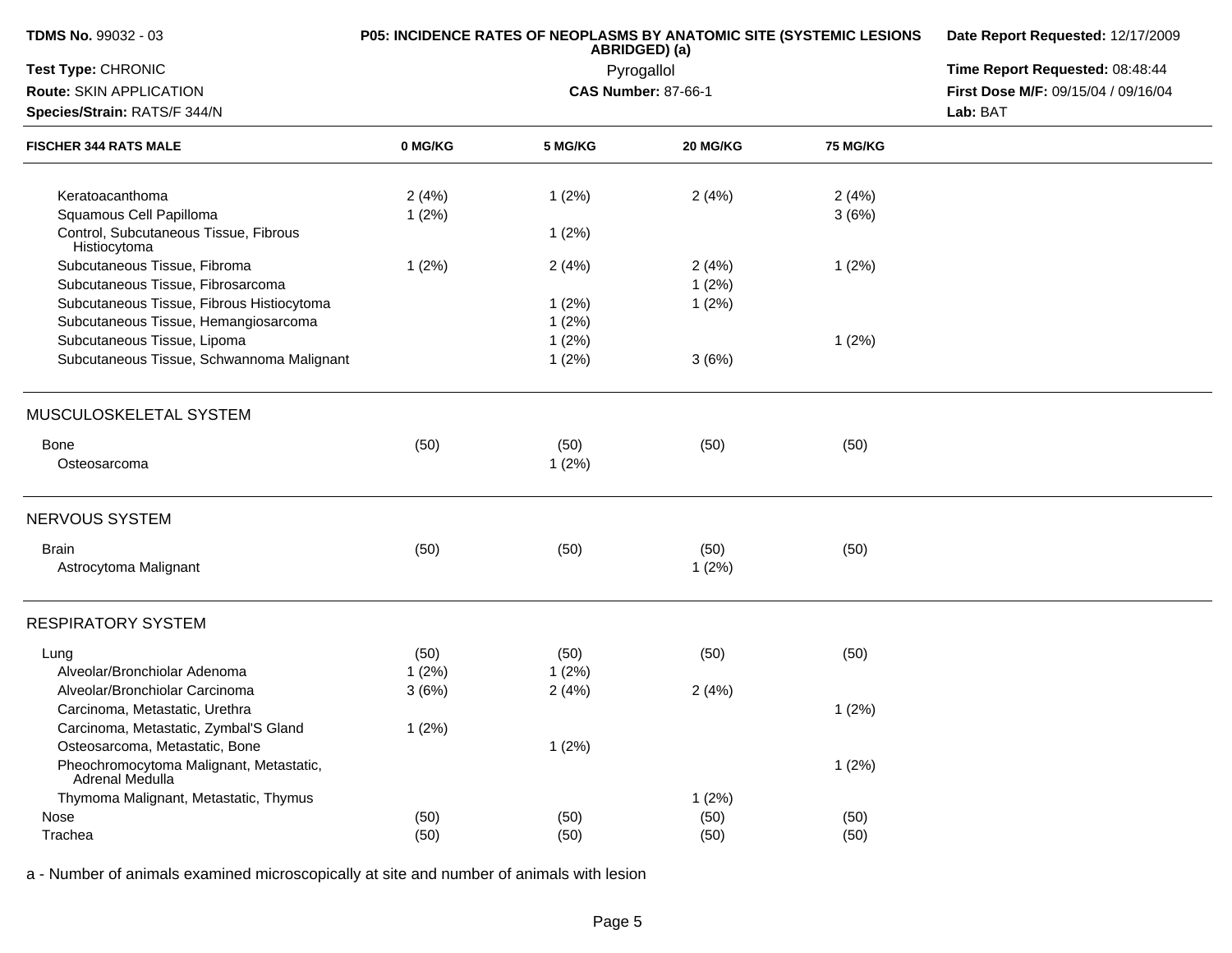| <b>TDMS No. 99032 - 03</b>                                 |         | P05: INCIDENCE RATES OF NEOPLASMS BY ANATOMIC SITE (SYSTEMIC LESIONS<br>ABRIDGED) (a) | Date Report Requested: 12/17/2009 |                 |                                     |
|------------------------------------------------------------|---------|---------------------------------------------------------------------------------------|-----------------------------------|-----------------|-------------------------------------|
| Test Type: CHRONIC                                         |         | Pyrogallol                                                                            | Time Report Requested: 08:48:44   |                 |                                     |
| Route: SKIN APPLICATION                                    |         |                                                                                       | <b>CAS Number: 87-66-1</b>        |                 | First Dose M/F: 09/15/04 / 09/16/04 |
| Species/Strain: RATS/F 344/N                               |         |                                                                                       |                                   |                 | Lab: BAT                            |
| <b>FISCHER 344 RATS MALE</b>                               | 0 MG/KG | 5 MG/KG                                                                               | 20 MG/KG                          | <b>75 MG/KG</b> |                                     |
| Keratoacanthoma                                            | 2(4%)   | 1(2%)                                                                                 | 2(4%)                             | 2(4%)           |                                     |
| Squamous Cell Papilloma                                    | 1(2%)   |                                                                                       |                                   | 3(6%)           |                                     |
| Control, Subcutaneous Tissue, Fibrous<br>Histiocytoma      |         | 1(2%)                                                                                 |                                   |                 |                                     |
| Subcutaneous Tissue, Fibroma                               | 1(2%)   | 2(4%)                                                                                 | 2(4%)                             | 1(2%)           |                                     |
| Subcutaneous Tissue, Fibrosarcoma                          |         |                                                                                       | 1(2%)                             |                 |                                     |
| Subcutaneous Tissue, Fibrous Histiocytoma                  |         | 1(2%)                                                                                 | 1(2%)                             |                 |                                     |
| Subcutaneous Tissue, Hemangiosarcoma                       |         | 1(2%)                                                                                 |                                   |                 |                                     |
| Subcutaneous Tissue, Lipoma                                |         | 1(2%)                                                                                 |                                   | 1(2%)           |                                     |
| Subcutaneous Tissue, Schwannoma Malignant                  |         | 1(2%)                                                                                 | 3(6%)                             |                 |                                     |
| MUSCULOSKELETAL SYSTEM                                     |         |                                                                                       |                                   |                 |                                     |
| <b>Bone</b>                                                | (50)    | (50)                                                                                  | (50)                              | (50)            |                                     |
| Osteosarcoma                                               |         | 1(2%)                                                                                 |                                   |                 |                                     |
| NERVOUS SYSTEM                                             |         |                                                                                       |                                   |                 |                                     |
| <b>Brain</b>                                               | (50)    | (50)                                                                                  | (50)                              | (50)            |                                     |
| Astrocytoma Malignant                                      |         |                                                                                       | 1(2%)                             |                 |                                     |
| <b>RESPIRATORY SYSTEM</b>                                  |         |                                                                                       |                                   |                 |                                     |
| Lung                                                       | (50)    | (50)                                                                                  | (50)                              | (50)            |                                     |
| Alveolar/Bronchiolar Adenoma                               | 1(2%)   | 1(2%)                                                                                 |                                   |                 |                                     |
| Alveolar/Bronchiolar Carcinoma                             | 3(6%)   | 2(4%)                                                                                 | 2(4%)                             |                 |                                     |
| Carcinoma, Metastatic, Urethra                             |         |                                                                                       |                                   | 1(2%)           |                                     |
| Carcinoma, Metastatic, Zymbal'S Gland                      | 1(2%)   |                                                                                       |                                   |                 |                                     |
| Osteosarcoma, Metastatic, Bone                             |         | 1(2%)                                                                                 |                                   |                 |                                     |
| Pheochromocytoma Malignant, Metastatic,<br>Adrenal Medulla |         |                                                                                       |                                   | 1(2%)           |                                     |
| Thymoma Malignant, Metastatic, Thymus                      |         |                                                                                       | 1(2%)                             |                 |                                     |
| Nose                                                       | (50)    | (50)                                                                                  | (50)                              | (50)            |                                     |
| Trachea                                                    | (50)    | (50)                                                                                  | (50)                              | (50)            |                                     |
|                                                            |         |                                                                                       |                                   |                 |                                     |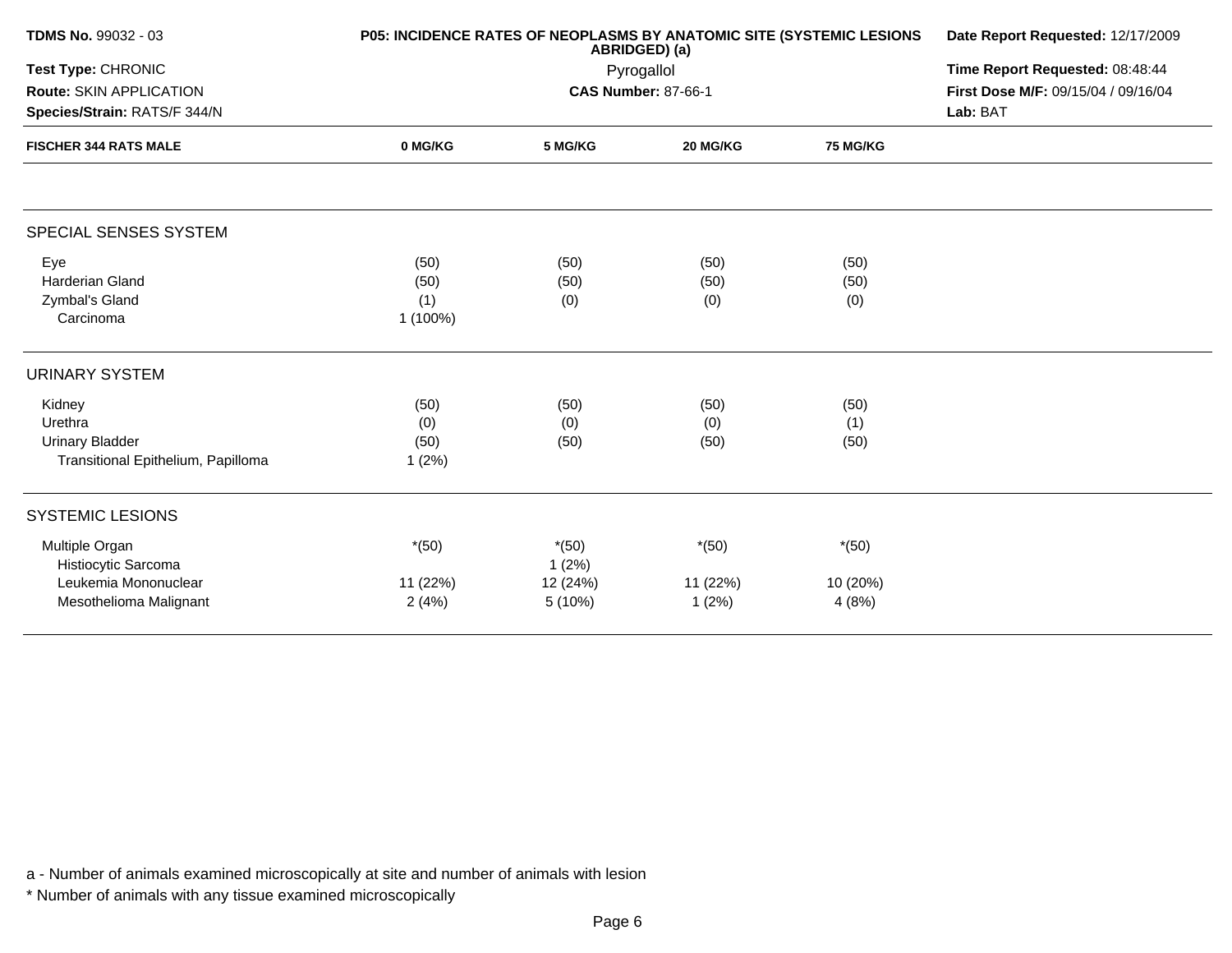| <b>TDMS No. 99032 - 03</b>                                                              | P05: INCIDENCE RATES OF NEOPLASMS BY ANATOMIC SITE (SYSTEMIC LESIONS | Date Report Requested: 12/17/2009<br>Time Report Requested: 08:48:44<br>First Dose M/F: 09/15/04 / 09/16/04<br>Lab: BAT |                              |                              |  |
|-----------------------------------------------------------------------------------------|----------------------------------------------------------------------|-------------------------------------------------------------------------------------------------------------------------|------------------------------|------------------------------|--|
| <b>Test Type: CHRONIC</b><br>Route: SKIN APPLICATION<br>Species/Strain: RATS/F 344/N    |                                                                      |                                                                                                                         |                              |                              |  |
| <b>FISCHER 344 RATS MALE</b>                                                            | 0 MG/KG                                                              | 5 MG/KG                                                                                                                 | 20 MG/KG                     | <b>75 MG/KG</b>              |  |
| SPECIAL SENSES SYSTEM                                                                   |                                                                      |                                                                                                                         |                              |                              |  |
| Eye<br><b>Harderian Gland</b><br>Zymbal's Gland<br>Carcinoma                            | (50)<br>(50)<br>(1)<br>1 (100%)                                      | (50)<br>(50)<br>(0)                                                                                                     | (50)<br>(50)<br>(0)          | (50)<br>(50)<br>(0)          |  |
| <b>URINARY SYSTEM</b>                                                                   |                                                                      |                                                                                                                         |                              |                              |  |
| Kidney<br>Urethra<br><b>Urinary Bladder</b><br>Transitional Epithelium, Papilloma       | (50)<br>(0)<br>(50)<br>1(2%)                                         | (50)<br>(0)<br>(50)                                                                                                     | (50)<br>(0)<br>(50)          | (50)<br>(1)<br>(50)          |  |
| <b>SYSTEMIC LESIONS</b>                                                                 |                                                                      |                                                                                                                         |                              |                              |  |
| Multiple Organ<br>Histiocytic Sarcoma<br>Leukemia Mononuclear<br>Mesothelioma Malignant | $*(50)$<br>11 (22%)<br>2(4%)                                         | $*(50)$<br>1(2%)<br>12 (24%)<br>5 (10%)                                                                                 | $*(50)$<br>11 (22%)<br>1(2%) | $*(50)$<br>10 (20%)<br>4(8%) |  |
|                                                                                         |                                                                      |                                                                                                                         |                              |                              |  |

\* Number of animals with any tissue examined microscopically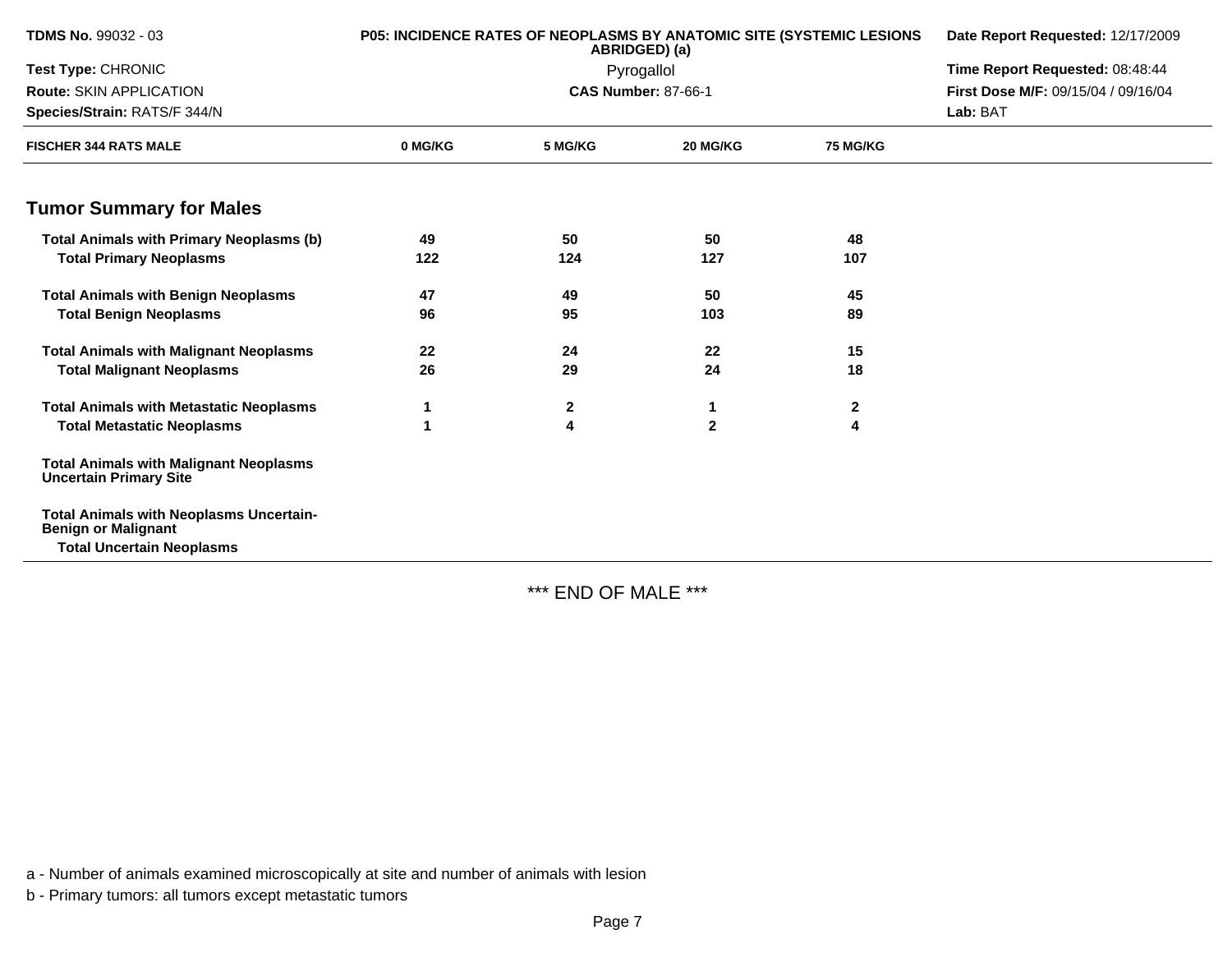| <b>TDMS No. 99032 - 03</b>                                                     | <b>P05: INCIDENCE RATES OF NEOPLASMS BY ANATOMIC SITE (SYSTEMIC LESIONS</b> | ABRIDGED) (a) | Date Report Requested: 12/17/2009 |                 |                                     |
|--------------------------------------------------------------------------------|-----------------------------------------------------------------------------|---------------|-----------------------------------|-----------------|-------------------------------------|
| Test Type: CHRONIC                                                             |                                                                             | Pyrogallol    | Time Report Requested: 08:48:44   |                 |                                     |
| Route: SKIN APPLICATION                                                        |                                                                             |               | <b>CAS Number: 87-66-1</b>        |                 | First Dose M/F: 09/15/04 / 09/16/04 |
| Species/Strain: RATS/F 344/N                                                   |                                                                             |               |                                   |                 | Lab: BAT                            |
| <b>FISCHER 344 RATS MALE</b>                                                   | 0 MG/KG                                                                     | 5 MG/KG       | 20 MG/KG                          | <b>75 MG/KG</b> |                                     |
| <b>Tumor Summary for Males</b>                                                 |                                                                             |               |                                   |                 |                                     |
| <b>Total Animals with Primary Neoplasms (b)</b>                                | 49                                                                          | 50            | 50                                | 48              |                                     |
| <b>Total Primary Neoplasms</b>                                                 | 122                                                                         | 124           | 127                               | 107             |                                     |
| <b>Total Animals with Benign Neoplasms</b>                                     | 47                                                                          | 49            | 50                                | 45              |                                     |
| <b>Total Benign Neoplasms</b>                                                  | 96                                                                          | 95            | 103                               | 89              |                                     |
| <b>Total Animals with Malignant Neoplasms</b>                                  | 22                                                                          | 24            | 22                                | 15              |                                     |
| <b>Total Malignant Neoplasms</b>                                               | 26                                                                          | 29            | 24                                | 18              |                                     |
| <b>Total Animals with Metastatic Neoplasms</b>                                 |                                                                             | $\mathbf 2$   |                                   | $\mathbf 2$     |                                     |
| <b>Total Metastatic Neoplasms</b>                                              | 1                                                                           | 4             | $\overline{2}$                    | 4               |                                     |
| <b>Total Animals with Malignant Neoplasms</b><br><b>Uncertain Primary Site</b> |                                                                             |               |                                   |                 |                                     |
| <b>Total Animals with Neoplasms Uncertain-</b><br><b>Benign or Malignant</b>   |                                                                             |               |                                   |                 |                                     |
| <b>Total Uncertain Neoplasms</b>                                               |                                                                             |               |                                   |                 |                                     |

\*\*\* END OF MALE \*\*\*

a - Number of animals examined microscopically at site and number of animals with lesion

b - Primary tumors: all tumors except metastatic tumors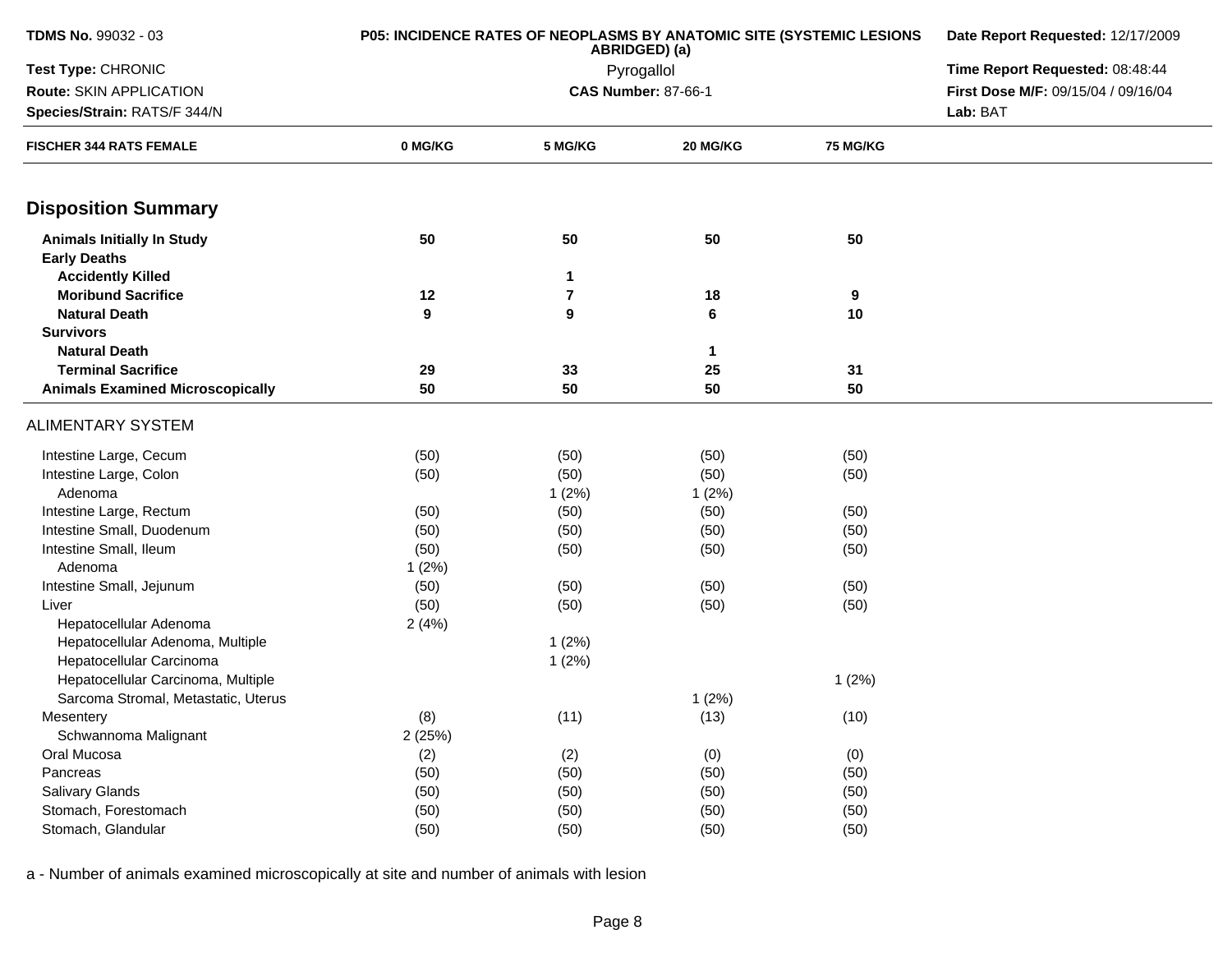| <b>TDMS No. 99032 - 03</b>                               | <b>P05: INCIDENCE RATES OF NEOPLASMS BY ANATOMIC SITE (SYSTEMIC LESIONS</b> | Date Report Requested: 12/17/2009<br>Time Report Requested: 08:48:44 |                            |                 |                                     |  |  |
|----------------------------------------------------------|-----------------------------------------------------------------------------|----------------------------------------------------------------------|----------------------------|-----------------|-------------------------------------|--|--|
| Test Type: CHRONIC                                       |                                                                             |                                                                      |                            |                 |                                     |  |  |
| Route: SKIN APPLICATION                                  |                                                                             |                                                                      | <b>CAS Number: 87-66-1</b> |                 | First Dose M/F: 09/15/04 / 09/16/04 |  |  |
| Species/Strain: RATS/F 344/N                             |                                                                             |                                                                      |                            |                 |                                     |  |  |
| <b>FISCHER 344 RATS FEMALE</b>                           | 0 MG/KG                                                                     | 5 MG/KG                                                              | 20 MG/KG                   | <b>75 MG/KG</b> |                                     |  |  |
| <b>Disposition Summary</b>                               |                                                                             |                                                                      |                            |                 |                                     |  |  |
| <b>Animals Initially In Study</b><br><b>Early Deaths</b> | 50                                                                          | 50                                                                   | 50                         | 50              |                                     |  |  |
| <b>Accidently Killed</b>                                 |                                                                             | 1                                                                    |                            |                 |                                     |  |  |
| <b>Moribund Sacrifice</b>                                | 12                                                                          | 7                                                                    | 18                         | 9               |                                     |  |  |
| <b>Natural Death</b>                                     | 9                                                                           | 9                                                                    | $\bf 6$                    | 10              |                                     |  |  |
| <b>Survivors</b>                                         |                                                                             |                                                                      |                            |                 |                                     |  |  |
| <b>Natural Death</b>                                     |                                                                             |                                                                      | $\mathbf 1$                |                 |                                     |  |  |
| <b>Terminal Sacrifice</b>                                | 29                                                                          | 33                                                                   | 25                         | 31              |                                     |  |  |
| <b>Animals Examined Microscopically</b>                  | 50                                                                          | 50                                                                   | 50                         | 50              |                                     |  |  |
| <b>ALIMENTARY SYSTEM</b>                                 |                                                                             |                                                                      |                            |                 |                                     |  |  |
| Intestine Large, Cecum                                   | (50)                                                                        | (50)                                                                 | (50)                       | (50)            |                                     |  |  |
| Intestine Large, Colon                                   | (50)                                                                        | (50)                                                                 | (50)                       | (50)            |                                     |  |  |
| Adenoma                                                  |                                                                             | 1(2%)                                                                | 1(2%)                      |                 |                                     |  |  |
| Intestine Large, Rectum                                  | (50)                                                                        | (50)                                                                 | (50)                       | (50)            |                                     |  |  |
| Intestine Small, Duodenum                                | (50)                                                                        | (50)                                                                 | (50)                       | (50)            |                                     |  |  |
| Intestine Small, Ileum                                   | (50)                                                                        | (50)                                                                 | (50)                       | (50)            |                                     |  |  |
| Adenoma                                                  | 1(2%)                                                                       |                                                                      |                            |                 |                                     |  |  |
| Intestine Small, Jejunum                                 | (50)                                                                        | (50)                                                                 | (50)                       | (50)            |                                     |  |  |
| Liver                                                    | (50)                                                                        | (50)                                                                 | (50)                       | (50)            |                                     |  |  |
| Hepatocellular Adenoma                                   | 2(4%)                                                                       |                                                                      |                            |                 |                                     |  |  |
| Hepatocellular Adenoma, Multiple                         |                                                                             | 1(2%)                                                                |                            |                 |                                     |  |  |
| Hepatocellular Carcinoma                                 |                                                                             | 1(2%)                                                                |                            |                 |                                     |  |  |
| Hepatocellular Carcinoma, Multiple                       |                                                                             |                                                                      |                            | 1(2%)           |                                     |  |  |
| Sarcoma Stromal, Metastatic, Uterus                      |                                                                             |                                                                      | 1(2%)                      |                 |                                     |  |  |
| Mesentery                                                | (8)                                                                         | (11)                                                                 | (13)                       | (10)            |                                     |  |  |
| Schwannoma Malignant                                     | 2(25%)                                                                      |                                                                      |                            |                 |                                     |  |  |
| Oral Mucosa                                              | (2)                                                                         | (2)                                                                  | (0)                        | (0)             |                                     |  |  |
| Pancreas                                                 | (50)                                                                        | (50)                                                                 | (50)                       | (50)            |                                     |  |  |
| Salivary Glands                                          | (50)                                                                        | (50)                                                                 | (50)                       | (50)            |                                     |  |  |
| Stomach, Forestomach                                     | (50)                                                                        | (50)                                                                 | (50)                       | (50)            |                                     |  |  |
| Stomach, Glandular                                       | (50)                                                                        | (50)                                                                 | (50)                       | (50)            |                                     |  |  |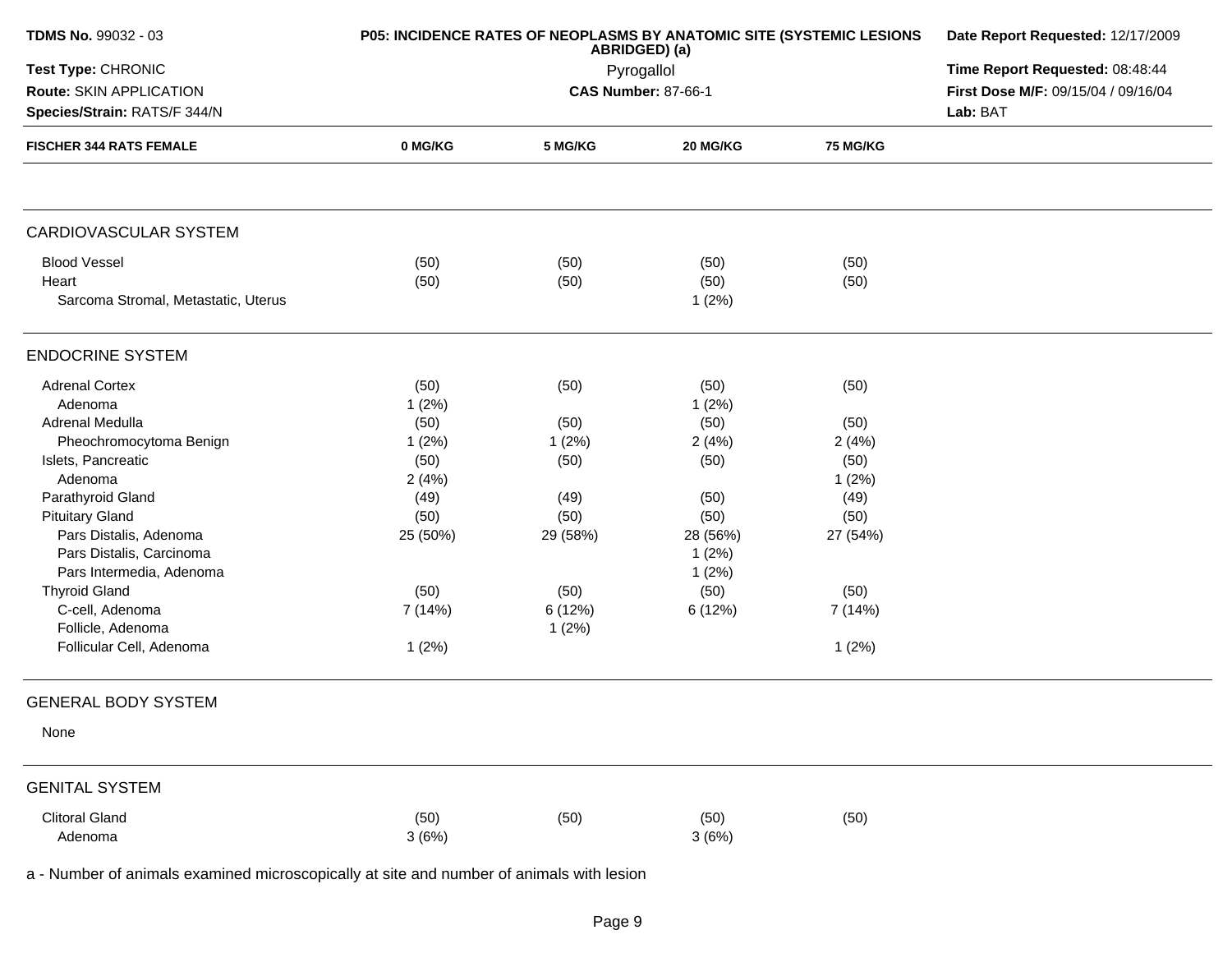| <b>TDMS No. 99032 - 03</b>                              | P05: INCIDENCE RATES OF NEOPLASMS BY ANATOMIC SITE (SYSTEMIC LESIONS | Date Report Requested: 12/17/2009<br>Time Report Requested: 08:48:44 |               |                 |  |
|---------------------------------------------------------|----------------------------------------------------------------------|----------------------------------------------------------------------|---------------|-----------------|--|
| Test Type: CHRONIC                                      |                                                                      |                                                                      |               |                 |  |
| Route: SKIN APPLICATION<br>Species/Strain: RATS/F 344/N |                                                                      | First Dose M/F: 09/15/04 / 09/16/04<br>Lab: BAT                      |               |                 |  |
| <b>FISCHER 344 RATS FEMALE</b>                          | 0 MG/KG                                                              | 5 MG/KG                                                              | 20 MG/KG      | <b>75 MG/KG</b> |  |
|                                                         |                                                                      |                                                                      |               |                 |  |
| <b>CARDIOVASCULAR SYSTEM</b>                            |                                                                      |                                                                      |               |                 |  |
| <b>Blood Vessel</b>                                     | (50)                                                                 | (50)                                                                 | (50)          | (50)            |  |
| Heart                                                   | (50)                                                                 | (50)                                                                 | (50)          | (50)            |  |
| Sarcoma Stromal, Metastatic, Uterus                     |                                                                      |                                                                      | 1(2%)         |                 |  |
| <b>ENDOCRINE SYSTEM</b>                                 |                                                                      |                                                                      |               |                 |  |
| <b>Adrenal Cortex</b>                                   | (50)                                                                 | (50)                                                                 | (50)          | (50)            |  |
| Adenoma                                                 | 1(2%)                                                                |                                                                      | 1(2%)         |                 |  |
| Adrenal Medulla                                         | (50)                                                                 | (50)                                                                 | (50)          | (50)            |  |
| Pheochromocytoma Benign                                 | 1(2%)                                                                | 1(2%)                                                                | 2(4%)         | 2(4%)           |  |
| Islets, Pancreatic                                      | (50)                                                                 | (50)                                                                 | (50)          | (50)            |  |
| Adenoma                                                 | 2(4%)                                                                |                                                                      |               | 1(2%)           |  |
| Parathyroid Gland                                       | (49)                                                                 | (49)                                                                 | (50)          | (49)            |  |
| <b>Pituitary Gland</b>                                  | (50)                                                                 | (50)                                                                 | (50)          | (50)            |  |
| Pars Distalis, Adenoma                                  | 25 (50%)                                                             | 29 (58%)                                                             | 28 (56%)      | 27 (54%)        |  |
| Pars Distalis, Carcinoma                                |                                                                      |                                                                      | 1(2%)         |                 |  |
| Pars Intermedia, Adenoma                                |                                                                      |                                                                      | 1(2%)         |                 |  |
| <b>Thyroid Gland</b>                                    | (50)                                                                 | (50)                                                                 | (50)          | (50)            |  |
| C-cell, Adenoma                                         | 7 (14%)                                                              | 6 (12%)                                                              | 6 (12%)       | 7 (14%)         |  |
| Follicle, Adenoma                                       |                                                                      | 1(2%)                                                                |               |                 |  |
| Follicular Cell, Adenoma                                | 1(2%)                                                                |                                                                      |               | 1(2%)           |  |
| <b>GENERAL BODY SYSTEM</b>                              |                                                                      |                                                                      |               |                 |  |
| None                                                    |                                                                      |                                                                      |               |                 |  |
| <b>GENITAL SYSTEM</b>                                   |                                                                      |                                                                      |               |                 |  |
| <b>Clitoral Gland</b>                                   |                                                                      |                                                                      |               |                 |  |
|                                                         |                                                                      |                                                                      |               |                 |  |
| Adenoma                                                 | (50)<br>3(6%)                                                        | (50)                                                                 | (50)<br>3(6%) | (50)            |  |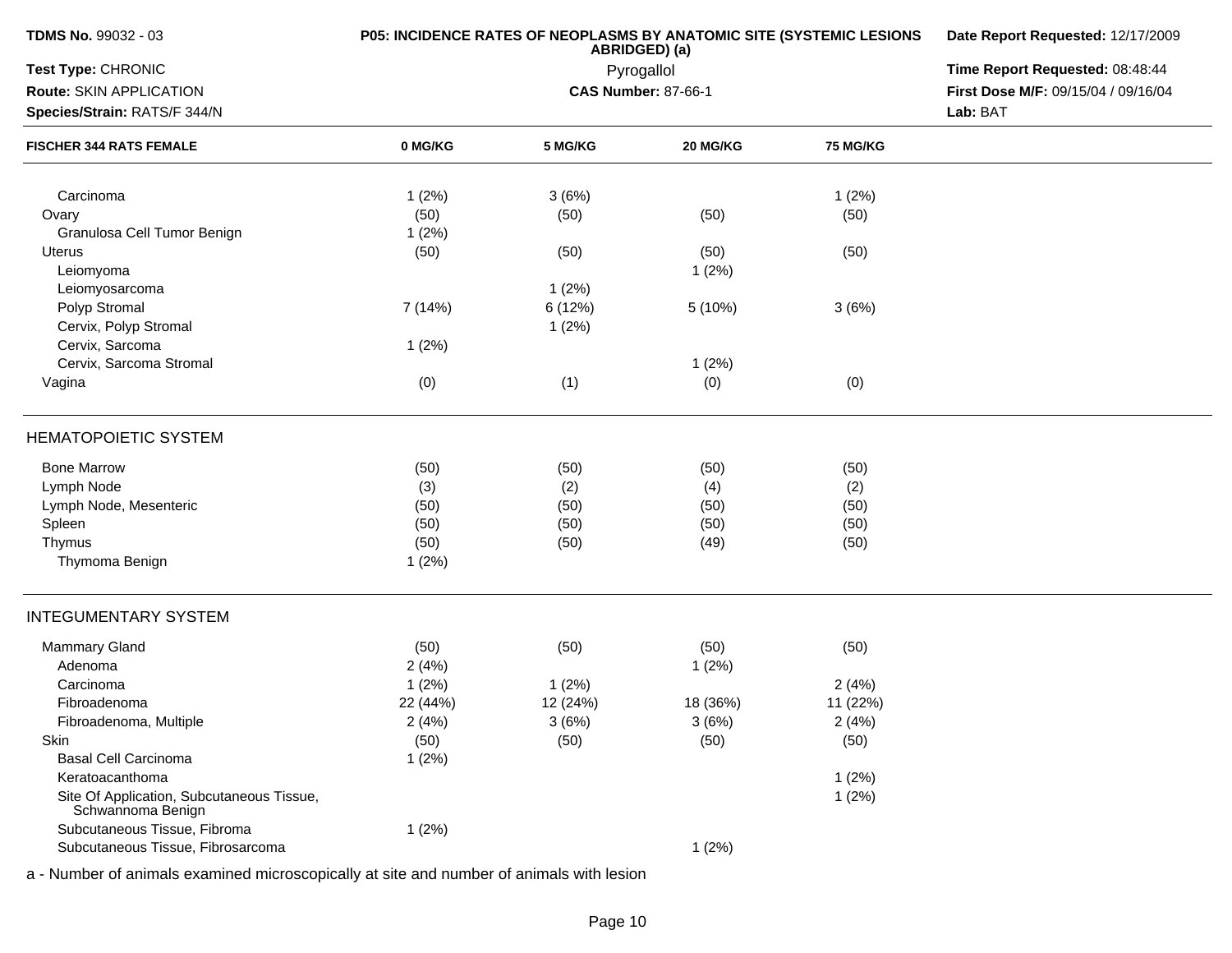| <b>TDMS No. 99032 - 03</b>                                     | <b>P05: INCIDENCE RATES OF NEOPLASMS BY ANATOMIC SITE (SYSTEMIC LESIONS</b> | Date Report Requested: 12/17/2009 |                            |          |                                     |
|----------------------------------------------------------------|-----------------------------------------------------------------------------|-----------------------------------|----------------------------|----------|-------------------------------------|
| Test Type: CHRONIC                                             |                                                                             | Time Report Requested: 08:48:44   |                            |          |                                     |
| Route: SKIN APPLICATION                                        |                                                                             |                                   | <b>CAS Number: 87-66-1</b> |          | First Dose M/F: 09/15/04 / 09/16/04 |
| Species/Strain: RATS/F 344/N                                   |                                                                             |                                   |                            |          | Lab: BAT                            |
| <b>FISCHER 344 RATS FEMALE</b>                                 | 0 MG/KG                                                                     | 5 MG/KG                           | 20 MG/KG                   | 75 MG/KG |                                     |
| Carcinoma                                                      | 1(2%)                                                                       | 3(6%)                             |                            | 1(2%)    |                                     |
| Ovary                                                          | (50)                                                                        | (50)                              | (50)                       | (50)     |                                     |
| Granulosa Cell Tumor Benign                                    | 1(2%)                                                                       |                                   |                            |          |                                     |
| Uterus                                                         | (50)                                                                        | (50)                              | (50)                       | (50)     |                                     |
| Leiomyoma                                                      |                                                                             |                                   | 1(2%)                      |          |                                     |
| Leiomyosarcoma                                                 |                                                                             | 1(2%)                             |                            |          |                                     |
| Polyp Stromal                                                  | 7 (14%)                                                                     | 6 (12%)                           | 5 (10%)                    | 3(6%)    |                                     |
| Cervix, Polyp Stromal                                          |                                                                             | 1(2%)                             |                            |          |                                     |
| Cervix, Sarcoma                                                | 1(2%)                                                                       |                                   |                            |          |                                     |
| Cervix, Sarcoma Stromal                                        |                                                                             |                                   | 1(2%)                      |          |                                     |
| Vagina                                                         | (0)                                                                         | (1)                               | (0)                        | (0)      |                                     |
| <b>HEMATOPOIETIC SYSTEM</b>                                    |                                                                             |                                   |                            |          |                                     |
| <b>Bone Marrow</b>                                             | (50)                                                                        | (50)                              | (50)                       | (50)     |                                     |
| Lymph Node                                                     | (3)                                                                         | (2)                               | (4)                        | (2)      |                                     |
| Lymph Node, Mesenteric                                         | (50)                                                                        | (50)                              | (50)                       | (50)     |                                     |
| Spleen                                                         | (50)                                                                        | (50)                              | (50)                       | (50)     |                                     |
| Thymus                                                         | (50)                                                                        | (50)                              | (49)                       | (50)     |                                     |
| Thymoma Benign                                                 | 1(2%)                                                                       |                                   |                            |          |                                     |
| <b>INTEGUMENTARY SYSTEM</b>                                    |                                                                             |                                   |                            |          |                                     |
| <b>Mammary Gland</b>                                           | (50)                                                                        | (50)                              | (50)                       | (50)     |                                     |
| Adenoma                                                        | 2(4%)                                                                       |                                   | 1(2%)                      |          |                                     |
| Carcinoma                                                      | 1(2%)                                                                       | 1(2%)                             |                            | 2(4%)    |                                     |
| Fibroadenoma                                                   | 22 (44%)                                                                    | 12 (24%)                          | 18 (36%)                   | 11 (22%) |                                     |
| Fibroadenoma, Multiple                                         | 2(4%)                                                                       | 3(6%)                             | 3(6%)                      | 2(4%)    |                                     |
| Skin                                                           | (50)                                                                        | (50)                              | (50)                       | (50)     |                                     |
| <b>Basal Cell Carcinoma</b>                                    | 1(2%)                                                                       |                                   |                            |          |                                     |
| Keratoacanthoma                                                |                                                                             |                                   |                            | 1(2%)    |                                     |
| Site Of Application, Subcutaneous Tissue,<br>Schwannoma Benign |                                                                             |                                   |                            | 1(2%)    |                                     |
| Subcutaneous Tissue, Fibroma                                   | 1(2%)                                                                       |                                   |                            |          |                                     |
| Subcutaneous Tissue, Fibrosarcoma                              |                                                                             |                                   | 1(2%)                      |          |                                     |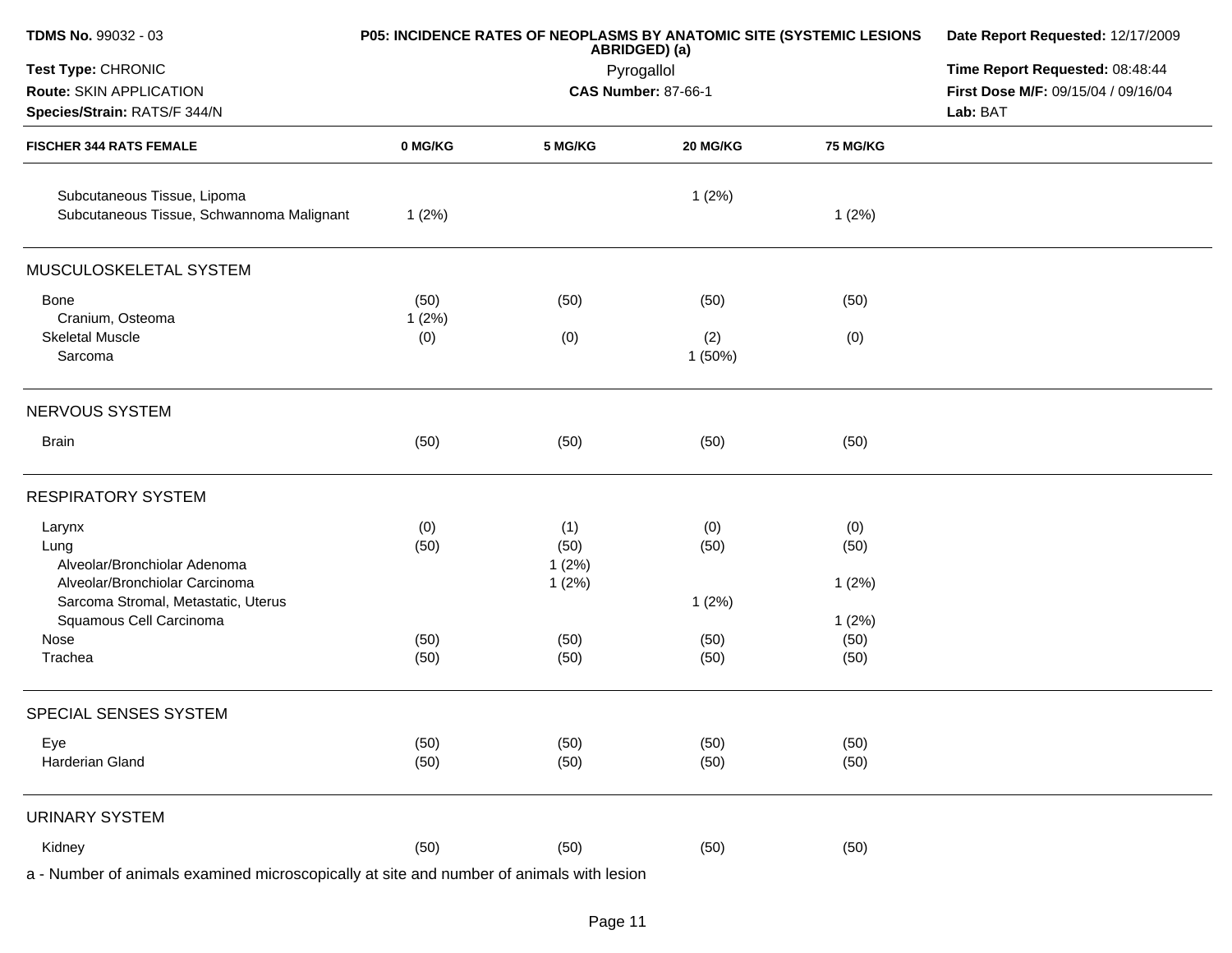| TDMS No. 99032 - 03                                                                      |         | P05: INCIDENCE RATES OF NEOPLASMS BY ANATOMIC SITE (SYSTEMIC LESIONS<br>ABRIDGED) (a) | Date Report Requested: 12/17/2009 |          |                                     |
|------------------------------------------------------------------------------------------|---------|---------------------------------------------------------------------------------------|-----------------------------------|----------|-------------------------------------|
| Test Type: CHRONIC                                                                       |         |                                                                                       | Pyrogallol                        |          | Time Report Requested: 08:48:44     |
| Route: SKIN APPLICATION                                                                  |         |                                                                                       | <b>CAS Number: 87-66-1</b>        |          | First Dose M/F: 09/15/04 / 09/16/04 |
| Species/Strain: RATS/F 344/N                                                             |         |                                                                                       | Lab: BAT                          |          |                                     |
| <b>FISCHER 344 RATS FEMALE</b>                                                           | 0 MG/KG | 5 MG/KG                                                                               | 20 MG/KG                          | 75 MG/KG |                                     |
| Subcutaneous Tissue, Lipoma<br>Subcutaneous Tissue, Schwannoma Malignant                 | 1(2%)   |                                                                                       | 1(2%)                             | 1(2%)    |                                     |
| MUSCULOSKELETAL SYSTEM                                                                   |         |                                                                                       |                                   |          |                                     |
| Bone                                                                                     | (50)    | (50)                                                                                  | (50)                              | (50)     |                                     |
| Cranium, Osteoma                                                                         | 1(2%)   |                                                                                       |                                   |          |                                     |
| <b>Skeletal Muscle</b><br>Sarcoma                                                        | (0)     | (0)                                                                                   | (2)<br>1(50%)                     | (0)      |                                     |
| NERVOUS SYSTEM                                                                           |         |                                                                                       |                                   |          |                                     |
| <b>Brain</b>                                                                             | (50)    | (50)                                                                                  | (50)                              | (50)     |                                     |
| <b>RESPIRATORY SYSTEM</b>                                                                |         |                                                                                       |                                   |          |                                     |
| Larynx                                                                                   | (0)     | (1)                                                                                   | (0)                               | (0)      |                                     |
| Lung                                                                                     | (50)    | (50)                                                                                  | (50)                              | (50)     |                                     |
| Alveolar/Bronchiolar Adenoma                                                             |         | 1(2%)                                                                                 |                                   |          |                                     |
| Alveolar/Bronchiolar Carcinoma                                                           |         | 1(2%)                                                                                 |                                   | 1(2%)    |                                     |
| Sarcoma Stromal, Metastatic, Uterus                                                      |         |                                                                                       | 1(2%)                             |          |                                     |
| Squamous Cell Carcinoma                                                                  |         |                                                                                       |                                   | 1(2%)    |                                     |
| Nose                                                                                     | (50)    | (50)                                                                                  | (50)                              | (50)     |                                     |
| Trachea                                                                                  | (50)    | (50)                                                                                  | (50)                              | (50)     |                                     |
| SPECIAL SENSES SYSTEM                                                                    |         |                                                                                       |                                   |          |                                     |
| Eye                                                                                      | (50)    | (50)                                                                                  | (50)                              | (50)     |                                     |
| Harderian Gland                                                                          | (50)    | (50)                                                                                  | (50)                              | (50)     |                                     |
| <b>URINARY SYSTEM</b>                                                                    |         |                                                                                       |                                   |          |                                     |
| Kidney                                                                                   | (50)    | (50)                                                                                  | (50)                              | (50)     |                                     |
| a - Number of animals examined microscopically at site and number of animals with lesion |         |                                                                                       |                                   |          |                                     |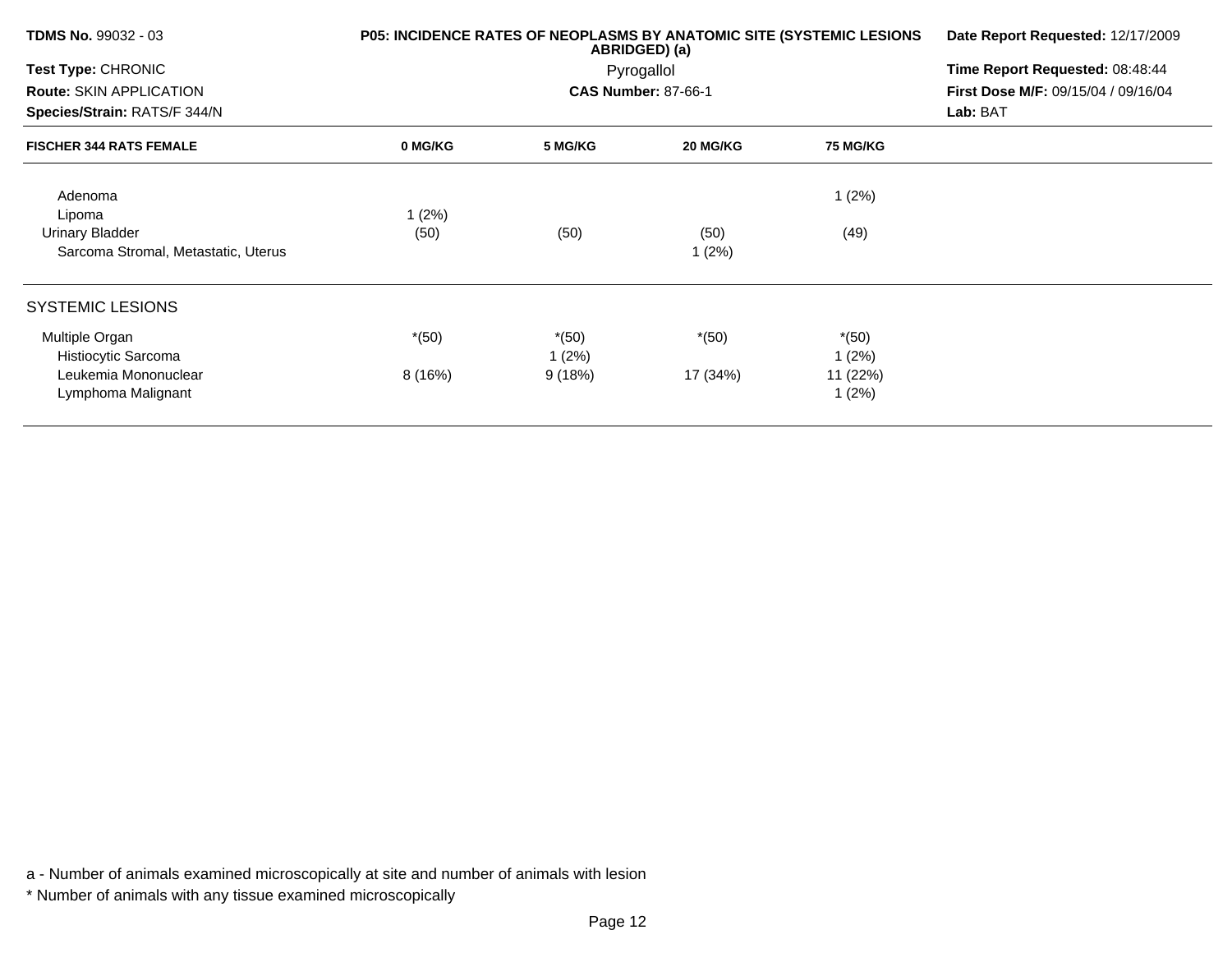| <b>TDMS No. 99032 - 03</b>          | P05: INCIDENCE RATES OF NEOPLASMS BY ANATOMIC SITE (SYSTEMIC LESIONS | Date Report Requested: 12/17/2009 |                            |                 |                                     |
|-------------------------------------|----------------------------------------------------------------------|-----------------------------------|----------------------------|-----------------|-------------------------------------|
| Test Type: CHRONIC                  |                                                                      |                                   | Pyrogallol                 |                 | Time Report Requested: 08:48:44     |
| <b>Route: SKIN APPLICATION</b>      |                                                                      |                                   | <b>CAS Number: 87-66-1</b> |                 | First Dose M/F: 09/15/04 / 09/16/04 |
| Species/Strain: RATS/F 344/N        |                                                                      |                                   |                            |                 | Lab: BAT                            |
| <b>FISCHER 344 RATS FEMALE</b>      | 0 MG/KG                                                              | 5 MG/KG                           | 20 MG/KG                   | <b>75 MG/KG</b> |                                     |
| Adenoma                             |                                                                      |                                   |                            | 1(2%)           |                                     |
| Lipoma                              | 1(2%)                                                                |                                   |                            |                 |                                     |
| <b>Urinary Bladder</b>              | (50)                                                                 | (50)                              | (50)                       | (49)            |                                     |
| Sarcoma Stromal, Metastatic, Uterus |                                                                      |                                   | 1(2%)                      |                 |                                     |
| <b>SYSTEMIC LESIONS</b>             |                                                                      |                                   |                            |                 |                                     |
| Multiple Organ                      | $*(50)$                                                              | $*(50)$                           | $*(50)$                    | $*(50)$         |                                     |
| Histiocytic Sarcoma                 |                                                                      | 1(2%)                             |                            | 1(2%)           |                                     |
| Leukemia Mononuclear                | 8(16%)                                                               | 9(18%)                            | 17 (34%)                   | 11 (22%)        |                                     |
| Lymphoma Malignant                  |                                                                      |                                   |                            | 1(2%)           |                                     |
|                                     |                                                                      |                                   |                            |                 |                                     |

\* Number of animals with any tissue examined microscopically